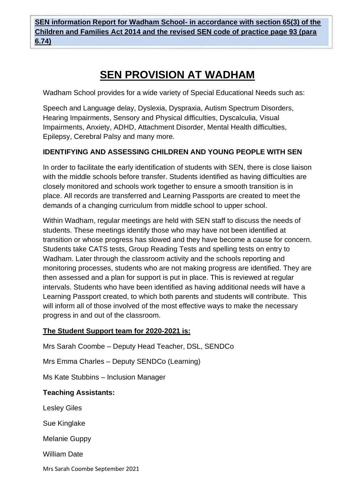**SEN information Report for Wadham School- in accordance with section 65(3) of the Children and Families Act 2014 and the revised SEN code of practice page 93 (para 6.74)**

# **SEN PROVISION AT WADHAM**

Wadham School provides for a wide variety of Special Educational Needs such as:

Speech and Language delay, Dyslexia, Dyspraxia, Autism Spectrum Disorders, Hearing Impairments, Sensory and Physical difficulties, Dyscalculia, Visual Impairments, Anxiety, ADHD, Attachment Disorder, Mental Health difficulties, Epilepsy, Cerebral Palsy and many more.

# **IDENTIFYING AND ASSESSING CHILDREN AND YOUNG PEOPLE WITH SEN**

In order to facilitate the early identification of students with SEN, there is close liaison with the middle schools before transfer. Students identified as having difficulties are closely monitored and schools work together to ensure a smooth transition is in place. All records are transferred and Learning Passports are created to meet the demands of a changing curriculum from middle school to upper school.

Within Wadham, regular meetings are held with SEN staff to discuss the needs of students. These meetings identify those who may have not been identified at transition or whose progress has slowed and they have become a cause for concern. Students take CATS tests, Group Reading Tests and spelling tests on entry to Wadham. Later through the classroom activity and the schools reporting and monitoring processes, students who are not making progress are identified. They are then assessed and a plan for support is put in place. This is reviewed at regular intervals. Students who have been identified as having additional needs will have a Learning Passport created, to which both parents and students will contribute. This will inform all of those involved of the most effective ways to make the necessary progress in and out of the classroom.

# **The Student Support team for 2020-2021 is:**

Mrs Sarah Coombe – Deputy Head Teacher, DSL, SENDCo

Mrs Emma Charles – Deputy SENDCo (Learning)

Ms Kate Stubbins – Inclusion Manager

#### **Teaching Assistants:**

Lesley Giles

Sue Kinglake

Melanie Guppy

William Date

Mrs Sarah Coombe September 2021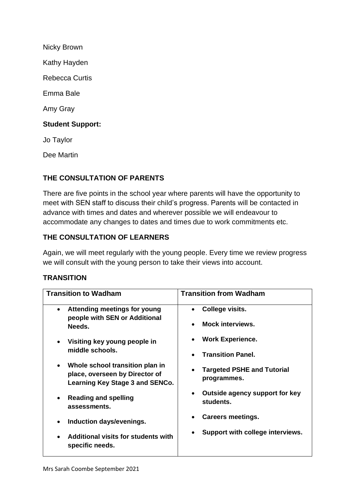Nicky Brown Kathy Hayden Rebecca Curtis Emma Bale Amy Gray **Student Support:** Jo Taylor

Dee Martin

#### **THE CONSULTATION OF PARENTS**

There are five points in the school year where parents will have the opportunity to meet with SEN staff to discuss their child's progress. Parents will be contacted in advance with times and dates and wherever possible we will endeavour to accommodate any changes to dates and times due to work commitments etc.

#### **THE CONSULTATION OF LEARNERS**

Again, we will meet regularly with the young people. Every time we review progress we will consult with the young person to take their views into account.

#### **TRANSITION**

| <b>Transition to Wadham</b>                                                                                       | <b>Transition from Wadham</b>                            |
|-------------------------------------------------------------------------------------------------------------------|----------------------------------------------------------|
| Attending meetings for young<br>people with SEN or Additional                                                     | College visits.                                          |
| Needs.                                                                                                            | <b>Mock interviews.</b><br>$\bullet$                     |
| Visiting key young people in<br>middle schools.                                                                   | <b>Work Experience.</b>                                  |
|                                                                                                                   | <b>Transition Panel.</b><br>$\bullet$                    |
| Whole school transition plan in<br>$\bullet$<br>place, overseen by Director of<br>Learning Key Stage 3 and SENCo. | <b>Targeted PSHE and Tutorial</b><br>programmes.         |
| <b>Reading and spelling</b><br>assessments.                                                                       | Outside agency support for key<br>$\bullet$<br>students. |
| Induction days/evenings.<br>$\bullet$                                                                             | <b>Careers meetings.</b>                                 |
| Additional visits for students with<br>specific needs.                                                            | Support with college interviews.                         |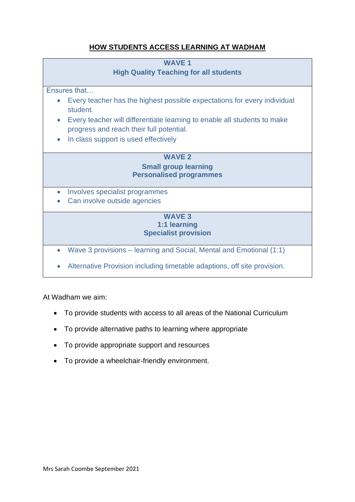# **HOW STUDENTS ACCESS LEARNING AT WADHAM**

#### **WAVE 1**

**High Quality Teaching for all students**

Ensures that…

- Every teacher has the highest possible expectations for every individual student.
- Every teacher will differentiate learning to enable all students to make progress and reach their full potential.
- In class support is used effectively

#### **WAVE 2 Small group learning Personalised programmes**

- Involves specialist programmes
- Can involve outside agencies

#### **WAVE 3 1:1 learning Specialist provision**

- Wave 3 provisions learning and Social, Mental and Emotional (1:1)
- Alternative Provision including timetable adaptions, off site provision.

At Wadham we aim:

- To provide students with access to all areas of the National Curriculum
- To provide alternative paths to learning where appropriate
- To provide appropriate support and resources
- To provide a wheelchair-friendly environment.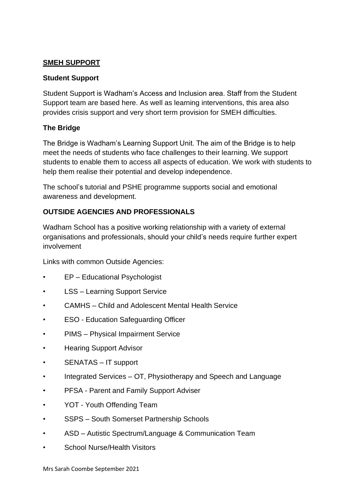#### **SMEH SUPPORT**

#### **Student Support**

Student Support is Wadham's Access and Inclusion area. Staff from the Student Support team are based here. As well as learning interventions, this area also provides crisis support and very short term provision for SMEH difficulties.

#### **The Bridge**

The Bridge is Wadham's Learning Support Unit. The aim of the Bridge is to help meet the needs of students who face challenges to their learning. We support students to enable them to access all aspects of education. We work with students to help them realise their potential and develop independence.

The school's tutorial and PSHE programme supports social and emotional awareness and development.

### **OUTSIDE AGENCIES AND PROFESSIONALS**

Wadham School has a positive working relationship with a variety of external organisations and professionals, should your child's needs require further expert involvement

Links with common Outside Agencies:

- EP Educational Psychologist
- LSS Learning Support Service
- CAMHS Child and Adolescent Mental Health Service
- ESO Education Safeguarding Officer
- PIMS Physical Impairment Service
- Hearing Support Advisor
- SENATAS IT support
- Integrated Services OT, Physiotherapy and Speech and Language
- PFSA Parent and Family Support Adviser
- YOT Youth Offending Team
- SSPS South Somerset Partnership Schools
- ASD Autistic Spectrum/Language & Communication Team
- School Nurse/Health Visitors